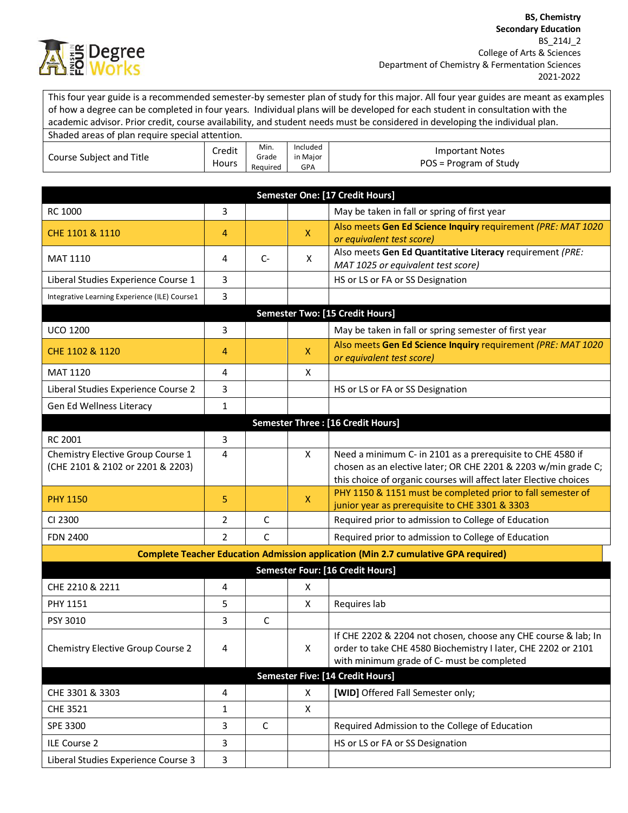

This four year guide is a recommended semester-by semester plan of study for this major. All four year guides are meant as examples of how a degree can be completed in four years. Individual plans will be developed for each student in consultation with the academic advisor. Prior credit, course availability, and student needs must be considered in developing the individual plan.

| Shaded areas of plan require special attention. |                 |                           |                                    |                                                  |
|-------------------------------------------------|-----------------|---------------------------|------------------------------------|--------------------------------------------------|
| Course Subject and Title                        | Credit<br>Hours | Min.<br>Grade<br>Reauired | Included<br>in Major<br><b>GPA</b> | <b>Important Notes</b><br>POS = Program of Study |

| Semester One: [17 Credit Hours]                                                           |               |              |              |                                                                                                                                     |  |
|-------------------------------------------------------------------------------------------|---------------|--------------|--------------|-------------------------------------------------------------------------------------------------------------------------------------|--|
| RC 1000                                                                                   | 3             |              |              | May be taken in fall or spring of first year                                                                                        |  |
| CHE 1101 & 1110                                                                           | 4             |              | $\mathsf{X}$ | Also meets Gen Ed Science Inquiry requirement (PRE: MAT 1020                                                                        |  |
|                                                                                           |               |              |              | or equivalent test score)                                                                                                           |  |
| <b>MAT 1110</b>                                                                           | 4             | $C-$         | X            | Also meets Gen Ed Quantitative Literacy requirement (PRE:<br>MAT 1025 or equivalent test score)                                     |  |
| Liberal Studies Experience Course 1                                                       | 3             |              |              | HS or LS or FA or SS Designation                                                                                                    |  |
| Integrative Learning Experience (ILE) Course1                                             | 3             |              |              |                                                                                                                                     |  |
| <b>Semester Two: [15 Credit Hours]</b>                                                    |               |              |              |                                                                                                                                     |  |
| <b>UCO 1200</b>                                                                           | 3             |              |              | May be taken in fall or spring semester of first year                                                                               |  |
| CHE 1102 & 1120                                                                           | 4             |              | X            | Also meets Gen Ed Science Inquiry requirement (PRE: MAT 1020<br>or equivalent test score)                                           |  |
| MAT 1120                                                                                  | 4             |              | X            |                                                                                                                                     |  |
| Liberal Studies Experience Course 2                                                       | 3             |              |              | HS or LS or FA or SS Designation                                                                                                    |  |
| Gen Ed Wellness Literacy                                                                  | 1             |              |              |                                                                                                                                     |  |
|                                                                                           |               |              |              | Semester Three : [16 Credit Hours]                                                                                                  |  |
| RC 2001                                                                                   | 3             |              |              |                                                                                                                                     |  |
| Chemistry Elective Group Course 1                                                         | 4             |              | X            | Need a minimum C- in 2101 as a prerequisite to CHE 4580 if                                                                          |  |
| (CHE 2101 & 2102 or 2201 & 2203)                                                          |               |              |              | chosen as an elective later; OR CHE 2201 & 2203 w/min grade C;<br>this choice of organic courses will affect later Elective choices |  |
|                                                                                           |               |              |              | PHY 1150 & 1151 must be completed prior to fall semester of                                                                         |  |
| <b>PHY 1150</b>                                                                           | 5             |              | $\mathsf{X}$ | junior year as prerequisite to CHE 3301 & 3303                                                                                      |  |
| CI 2300                                                                                   | 2             | $\mathsf{C}$ |              | Required prior to admission to College of Education                                                                                 |  |
| <b>FDN 2400</b>                                                                           | $\mathcal{P}$ | $\mathsf{C}$ |              | Required prior to admission to College of Education                                                                                 |  |
| <b>Complete Teacher Education Admission application (Min 2.7 cumulative GPA required)</b> |               |              |              |                                                                                                                                     |  |
|                                                                                           |               |              |              | Semester Four: [16 Credit Hours]                                                                                                    |  |
| CHE 2210 & 2211                                                                           | 4             |              | X            |                                                                                                                                     |  |
| <b>PHY 1151</b>                                                                           | 5             |              | X            | Requires lab                                                                                                                        |  |
| PSY 3010                                                                                  | 3             | $\mathsf{C}$ |              |                                                                                                                                     |  |
| Chemistry Elective Group Course 2                                                         |               |              |              | If CHE 2202 & 2204 not chosen, choose any CHE course & lab; In                                                                      |  |
|                                                                                           | 4             |              | Χ            | order to take CHE 4580 Biochemistry I later, CHE 2202 or 2101<br>with minimum grade of C- must be completed                         |  |
| Semester Five: [14 Credit Hours]                                                          |               |              |              |                                                                                                                                     |  |
| CHE 3301 & 3303                                                                           | 4             |              | X            | [WID] Offered Fall Semester only;                                                                                                   |  |
| <b>CHE 3521</b>                                                                           | 1             |              | X            |                                                                                                                                     |  |
| SPE 3300                                                                                  | 3             | $\mathsf{C}$ |              | Required Admission to the College of Education                                                                                      |  |
| ILE Course 2                                                                              | 3             |              |              | HS or LS or FA or SS Designation                                                                                                    |  |
| Liberal Studies Experience Course 3                                                       | 3             |              |              |                                                                                                                                     |  |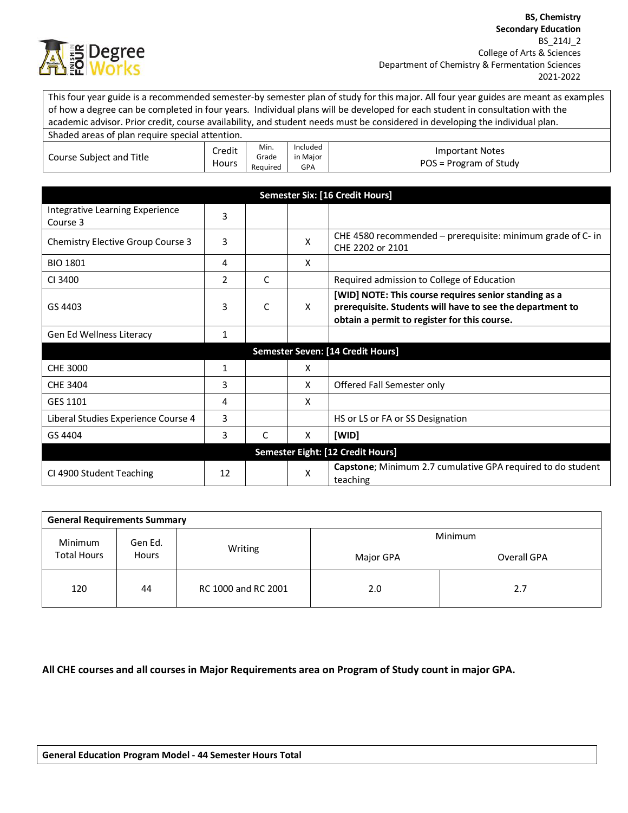

This four year guide is a recommended semester-by semester plan of study for this major. All four year guides are meant as examples of how a degree can be completed in four years. Individual plans will be developed for each student in consultation with the academic advisor. Prior credit, course availability, and student needs must be considered in developing the individual plan. Shaded areas of plan require special attention. Course Subject and Title Credit **Hours** Min. Grade Required Included in Major GPA Important Notes POS = Program of Study **Semester Six: [16 Credit Hours]** Integrative Learning Experience<br>Course 3 Chemistry Elective Group Course 3 3 3 X CHE 4580 recommended – prerequisite: minimum grade of C- in CHE 2202 or 2101 BIO 1801 4 X CI 3400 2 C Required admission to College of Education GS 4403 3 C X **[WID] NOTE: This course requires senior standing as a prerequisite. Students will have to see the department to obtain a permit to register for this course.** Gen Ed Wellness Literacy 1 **Semester Seven: [14 Credit Hours]** CHE 3000 1 1 X CHE 3404 **3** 3 X Offered Fall Semester only GES 1101 4 X Liberal Studies Experience Course 4 3 4 HS or LS or FA or SS Designation GS 4404 3 C X **[WID] Semester Eight: [12 Credit Hours]** CI 4900 Student Teaching 12 X **Capstone**; Minimum 2.7 cumulative GPA required to do student teaching

| <b>General Requirements Summary</b> |              |                     |           |             |  |  |
|-------------------------------------|--------------|---------------------|-----------|-------------|--|--|
| Minimum<br><b>Total Hours</b>       | Gen Ed.      |                     | Minimum   |             |  |  |
|                                     | <b>Hours</b> | Writing             | Major GPA | Overall GPA |  |  |
| 120                                 | 44           | RC 1000 and RC 2001 | 2.0       | 2.7         |  |  |

**All CHE courses and all courses in Major Requirements area on Program of Study count in major GPA.**